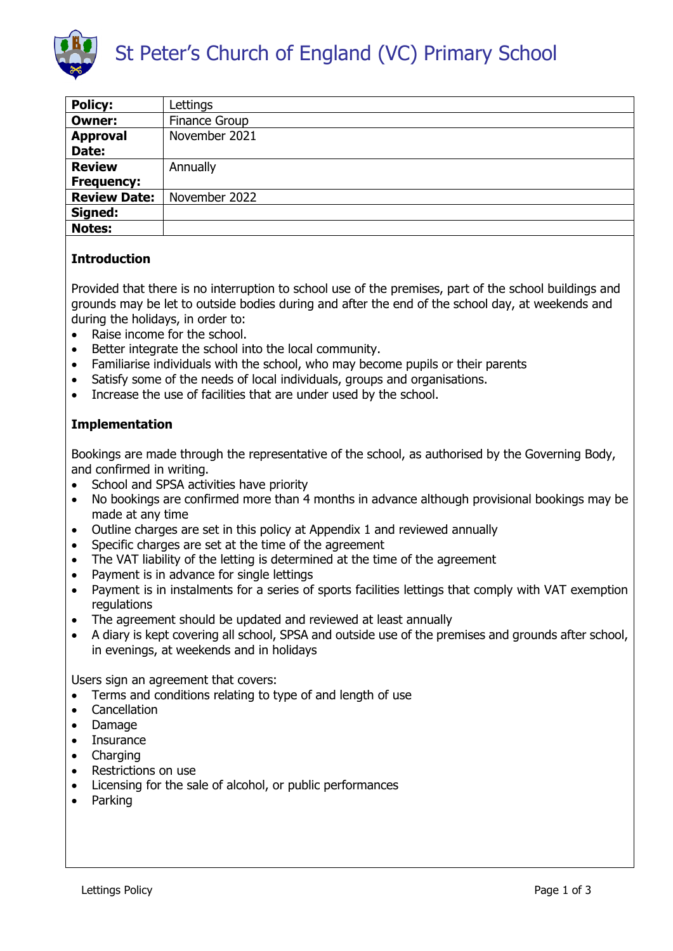

| <b>Policy:</b>      | Lettings             |
|---------------------|----------------------|
| <b>Owner:</b>       | <b>Finance Group</b> |
| <b>Approval</b>     | November 2021        |
| Date:               |                      |
| <b>Review</b>       | Annually             |
| <b>Frequency:</b>   |                      |
| <b>Review Date:</b> | November 2022        |
| Signed:             |                      |
| <b>Notes:</b>       |                      |

## **Introduction**

Provided that there is no interruption to school use of the premises, part of the school buildings and grounds may be let to outside bodies during and after the end of the school day, at weekends and during the holidays, in order to:

- Raise income for the school.
- Better integrate the school into the local community.
- Familiarise individuals with the school, who may become pupils or their parents
- Satisfy some of the needs of local individuals, groups and organisations.
- Increase the use of facilities that are under used by the school.

## **Implementation**

Bookings are made through the representative of the school, as authorised by the Governing Body, and confirmed in writing.

- School and SPSA activities have priority
- No bookings are confirmed more than 4 months in advance although provisional bookings may be made at any time
- Outline charges are set in this policy at Appendix 1 and reviewed annually
- Specific charges are set at the time of the agreement
- The VAT liability of the letting is determined at the time of the agreement
- Payment is in advance for single lettings
- Payment is in instalments for a series of sports facilities lettings that comply with VAT exemption regulations
- The agreement should be updated and reviewed at least annually
- A diary is kept covering all school, SPSA and outside use of the premises and grounds after school, in evenings, at weekends and in holidays

Users sign an agreement that covers:

- Terms and conditions relating to type of and length of use
- Cancellation
- Damage
- Insurance
- Charging
- Restrictions on use
- Licensing for the sale of alcohol, or public performances
- Parking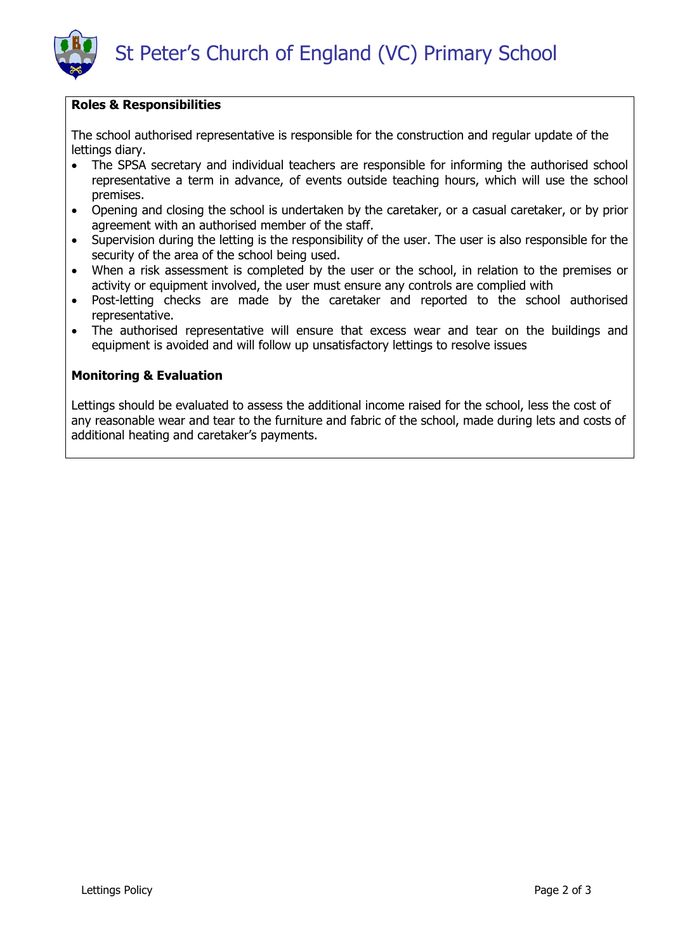

#### **Roles & Responsibilities**

The school authorised representative is responsible for the construction and regular update of the lettings diary.

- The SPSA secretary and individual teachers are responsible for informing the authorised school representative a term in advance, of events outside teaching hours, which will use the school premises.
- Opening and closing the school is undertaken by the caretaker, or a casual caretaker, or by prior agreement with an authorised member of the staff.
- Supervision during the letting is the responsibility of the user. The user is also responsible for the security of the area of the school being used.
- When a risk assessment is completed by the user or the school, in relation to the premises or activity or equipment involved, the user must ensure any controls are complied with
- Post-letting checks are made by the caretaker and reported to the school authorised representative.
- The authorised representative will ensure that excess wear and tear on the buildings and equipment is avoided and will follow up unsatisfactory lettings to resolve issues

#### **Monitoring & Evaluation**

Lettings should be evaluated to assess the additional income raised for the school, less the cost of any reasonable wear and tear to the furniture and fabric of the school, made during lets and costs of additional heating and caretaker's payments.